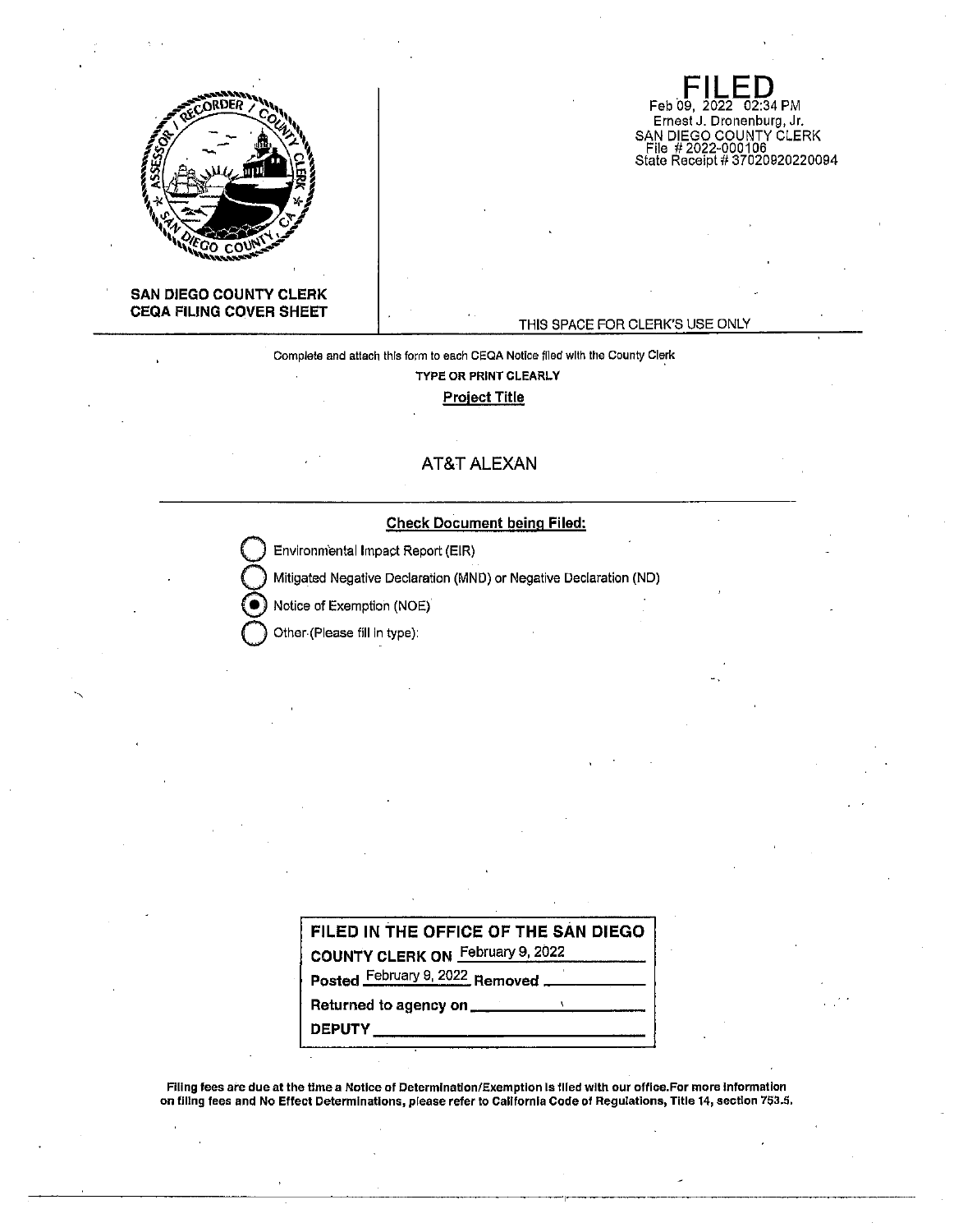

## **SAN DIEGO COUNTY CLERK CEQA FILING COVER SHEET**

#### THIS SPACE FOR CLERK'S USE ONLY

**Feb 09, 2022 02:34 PM** Ernest J. Dronenburg, Jr.

SAN DIEGO COUNTY CLERK File # 2022-000106 State Receipt# 37020920220094

# Complete and attach this form to each CEQA Notice filed with the County Clerk **TYPE OR PRINT CLEARLY Project Title**

# **AT&T ALEXAN**

## **Check Document being Filed:**

**Environmental Impact Report (EIR)** 

**Q** Mitigated Negative Declaration (MND) or Negative Declaration (ND)

Notice of Exemption (NOE)

**Q** Other-(Please fill In type):

| FILED IN THE OFFICE OF THE SAN DIEGO |
|--------------------------------------|
| COUNTY CLERK ON February 9, 2022     |
| Posted February 9, 2022 Removed      |
|                                      |
| <b>DEPUTY</b>                        |

Filing fees are due at the time a Notice of Determination/Exemption Is fifed with our office.For more Information on fillng fees and No Effect Determinations, please refer to Callfornia Code of Regulations, Title 14, section 753.5.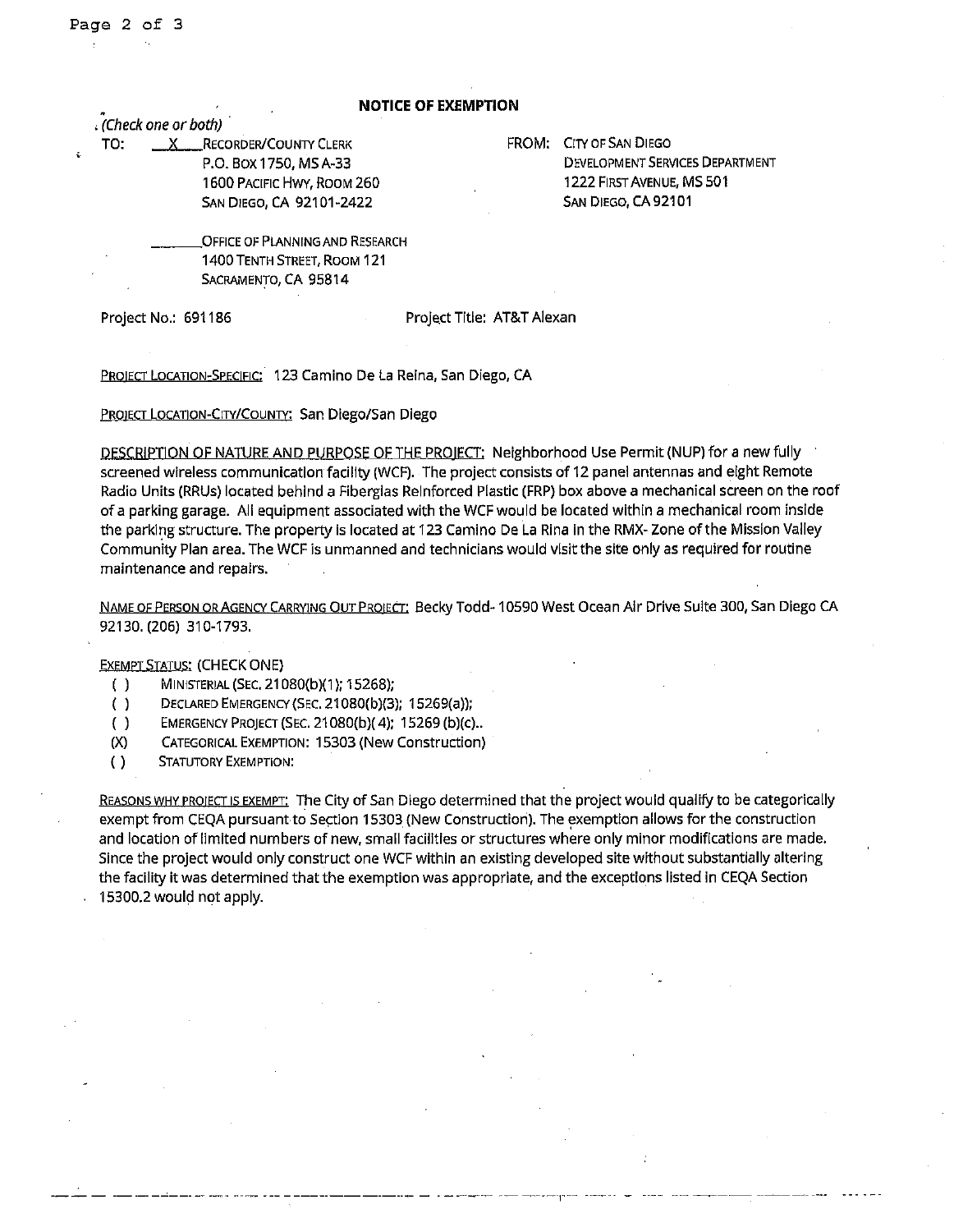#### **NOTICE OF EXEMPTION**

, *(Check one or both)* ·

TO: X RECORDER/COUNTY CLERK P.O. Box 1750, MS A-33 1600 PACIFIC HWY, ROOM 260 SAN DIEGO, CA 92101-2422

FROM: CITY OF SAN DIEGO DEVELOPMENT SERVICES DEPARTMENT 1222 FIRST AVENUE, MS 501 SAN DIEGO, CA 92101

**OFFICE OF PLANNING AND RESEARCH** 1400 TENTH STREET, ROOM 121 SACRAMENTO, CA 95814

Project No.: 691186 Project Title: AT&T Alexan

PROIECT LOCATION-SPECIFIC: 123 Camino De La Reina, San Diego, CA

PROJECT LOCATION-CITY/COUNTY: San Diego/San Diego

DESCRIPTION OF NATURE AND PURPOSE OF THE PRO!ECT: Neighborhood Use Permit (NUP) for a new fully screened wireless communication facility (WCF). The project consists of 12 panel antennas and eight Remote Radio Units (RRUs) located behind a Fiberglas Reinforced Plastic (FRP) box above a mechanical screen on the roof of a parking garage. All equipment associated with the WCF would be located within a mechanical room inside the parking structure. The property is located at 123 Camino De La Rina in the RMX- Zone of the Mission Valley Community Plan area. The WCF is unmanned and technicians would visit the site only as required for routine maintenance and repairs.

NAME OF PERSON OR AGENCY CARRYING OUT PROJECT: Becky Todd-10590 West Ocean Air Drive Suite 300, San Diego CA 92130. (206) 310-1793.

## EXEMPT STATUS: (CHECK ONE)

- ( ) MINISTERIAL (SEC. 21080(b)(1 ); 15268);
- ( ) DECLARED EMERGENCY (SEC. 21080(b)(3); 15269(a));
- ( ) EMERGENCY PROJECT (SEC. 21080(b)( 4); 15269 (b)(c) ..
- (X) CATEGORICAL EXEMPTION: 15303 (New Construction)
- ( ) STATUTORY EXEMPTION:

REASONS WHY PROJECT IS EXEMPT: The City of San Diego determined that the project would qualify to be categorically exempt from CEQA pursuant to Section 15303 (New Construction). The exemption allows for the construction and location of limited numbers of new, small facilities or structures where only minor modifications are made. Since the project would only construct one WCF within an existing developed site without substantially altering the facility it was determined that the exemption was appropriate, and the exceptions listed in CEQA Section 15300.2 would not apply.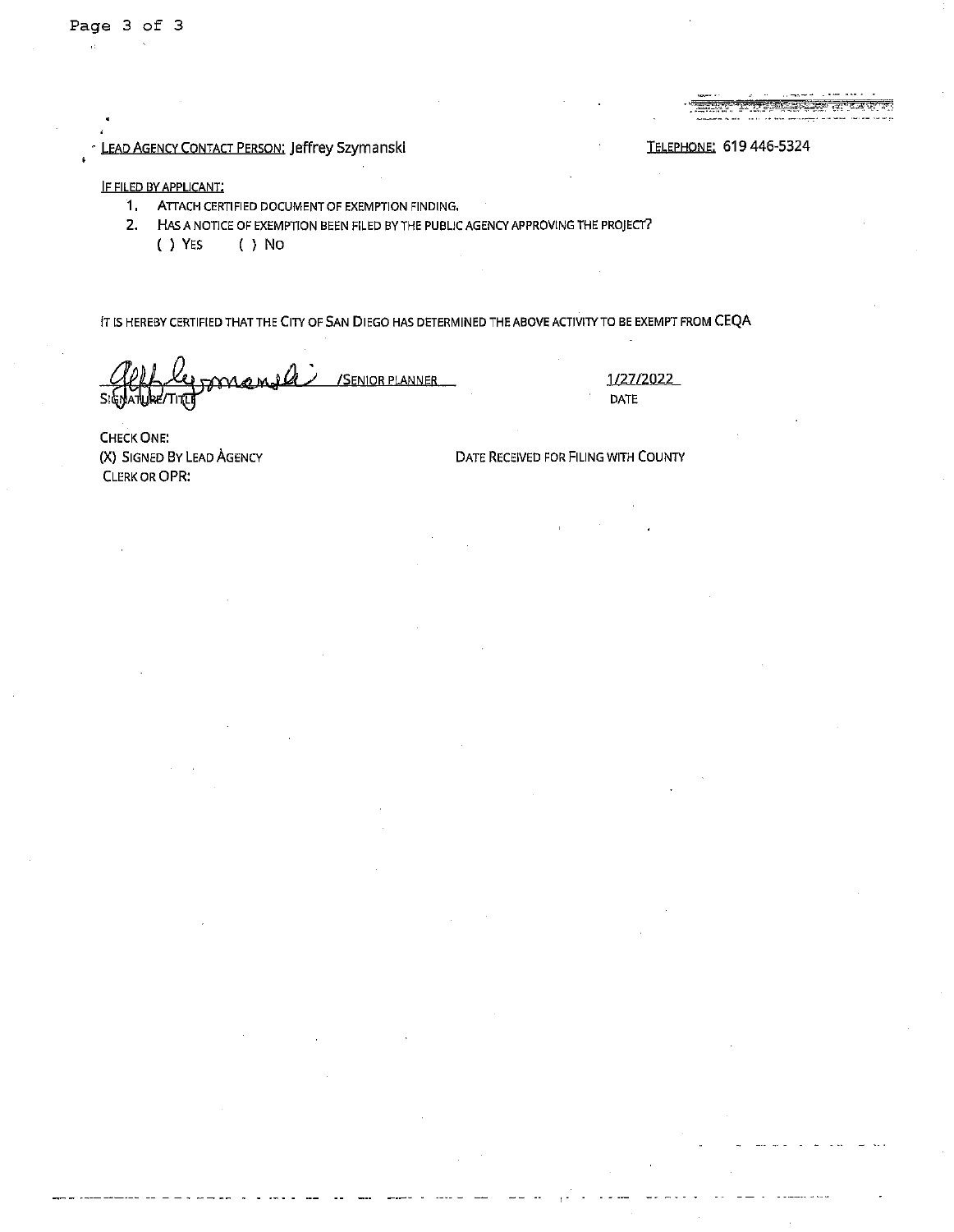# LEAD AGENCY CONTACT PERSON: Jeffrey Szymanski enterpretational and the TELEPHONE: 619 446-5324

#### IF FILED BY APPLICANT;

- 1, ATTACH CERTIFIED DOCUMENT OF EXEMPTION FINDING,
- **2.** HAS A NOTICE OF EXEMPTION BEEN FILED BY THE PUBLIC AGENCY APPROVING THE PROJECT?
	- ( ) YES ( ) No

IT IS HEREBY CERTIFIED THAT THE CITY OF SAN DIEGO HAS DETERMINED THE ABOVE ACTIVITY TO BE EXEMPT FROM CEQA

**~~4IVI.J,l«** *d* /SENIORPIANNER  $\overline{\mathsf{Si}}$ 

1/27/2022 DATE

, <sub>-</sub> - - - - - - - - - - -

CHECK ONE: **(X)** SIGNED BY LEAD AGENCY CLERK OR QPR:

DATE RECEIVED FOR FILING WITH COUNTY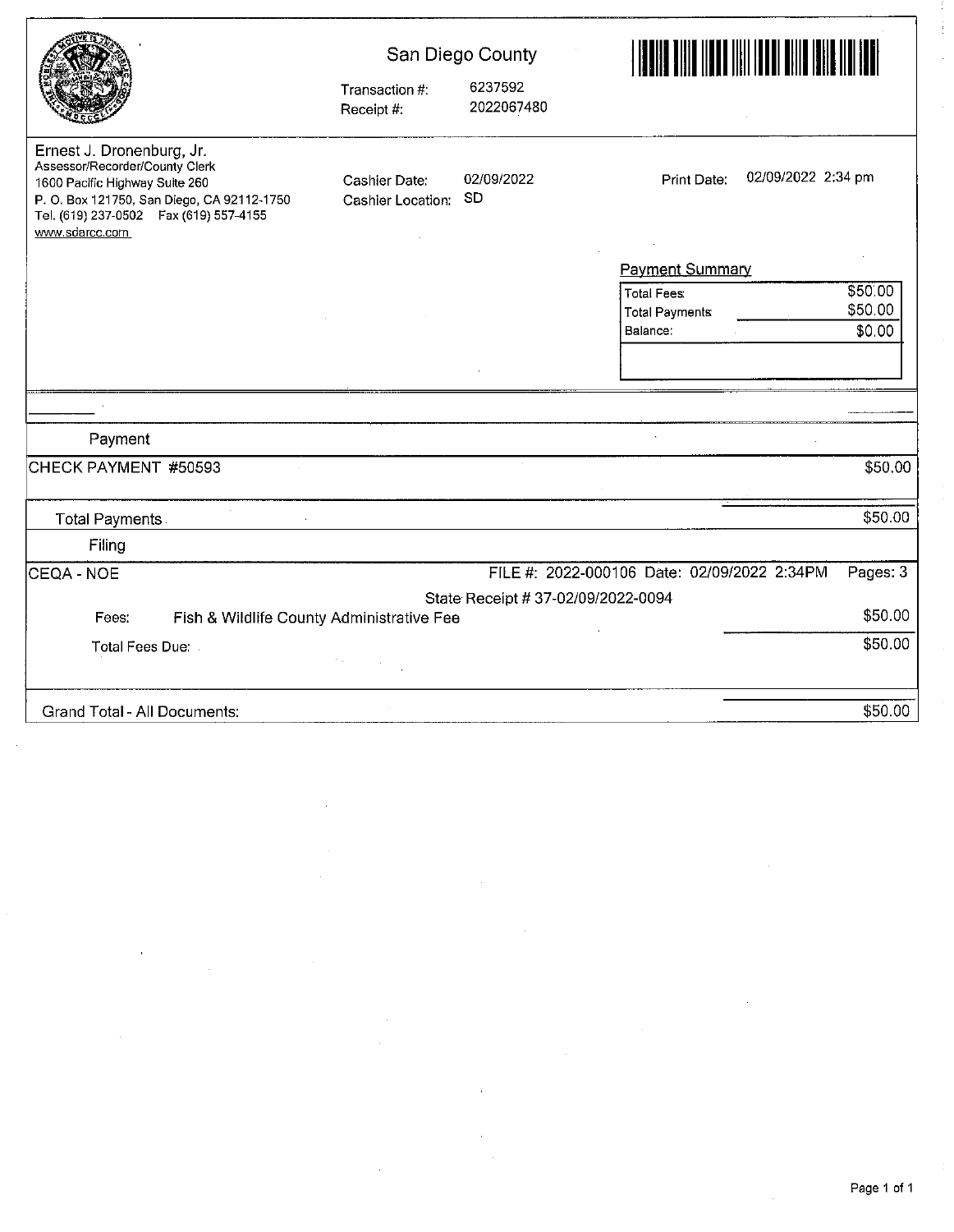|                                                                                                                                                                                                          | Transaction #:<br>Receipt #:       | San Diego County<br>6237592<br>2022067480 |                                   |  |  |
|----------------------------------------------------------------------------------------------------------------------------------------------------------------------------------------------------------|------------------------------------|-------------------------------------------|-----------------------------------|--|--|
| Ernest J. Dronenburg, Jr.<br>Assessor/Recorder/County Clerk<br>1600 Pacific Highway Suite 260<br>P. O. Box 121750, San Diego, CA 92112-1750<br>Tel. (619) 237-0502  Fax (619) 557-4155<br>www.sdarcc.com | Cashier Date:<br>Cashier Location: | 02/09/2022<br><b>SD</b>                   | 02/09/2022 2:34 pm<br>Print Date: |  |  |
|                                                                                                                                                                                                          |                                    |                                           | <b>Payment Summary</b>            |  |  |
|                                                                                                                                                                                                          |                                    |                                           | \$50.00<br><b>Total Fees:</b>     |  |  |
|                                                                                                                                                                                                          |                                    |                                           | \$50.00                           |  |  |
|                                                                                                                                                                                                          |                                    |                                           | Balance:                          |  |  |
|                                                                                                                                                                                                          |                                    |                                           |                                   |  |  |
|                                                                                                                                                                                                          |                                    |                                           |                                   |  |  |
| Payment                                                                                                                                                                                                  |                                    |                                           |                                   |  |  |
| CHECK PAYMENT #50593                                                                                                                                                                                     |                                    |                                           |                                   |  |  |
|                                                                                                                                                                                                          |                                    |                                           | \$50.00                           |  |  |
| Filing                                                                                                                                                                                                   |                                    |                                           |                                   |  |  |
| <b>Total Payments</b><br>\$0.00<br>\$50.00<br><b>Total Payments</b><br>FILE #: 2022-000106 Date: 02/09/2022 2:34PM<br>Pages: 3<br>CEQA - NOE<br>State Receipt # 37-02/09/2022-0094                       |                                    |                                           |                                   |  |  |
|                                                                                                                                                                                                          |                                    |                                           |                                   |  |  |
| Fish & Wildlife County Administrative Fee<br>Fees:                                                                                                                                                       |                                    |                                           | \$50.00                           |  |  |
| Total Fees Due:                                                                                                                                                                                          |                                    |                                           | \$50.00                           |  |  |
|                                                                                                                                                                                                          |                                    |                                           |                                   |  |  |
| <b>Grand Total - All Documents:</b>                                                                                                                                                                      |                                    |                                           | \$50.00                           |  |  |